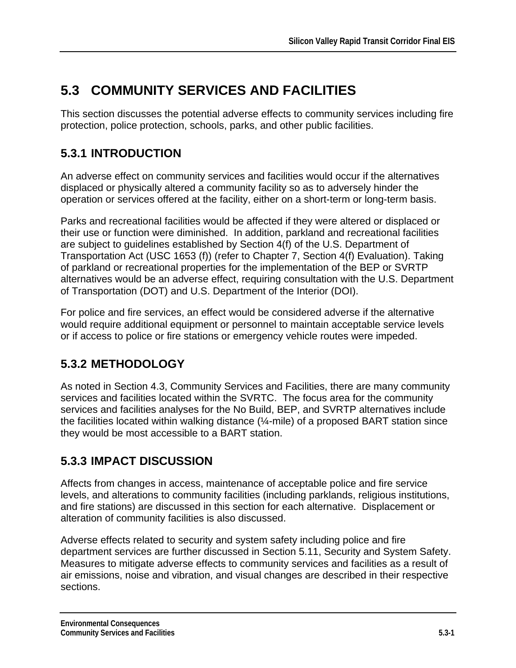# **5.3 COMMUNITY SERVICES AND FACILITIES**

This section discusses the potential adverse effects to community services including fire protection, police protection, schools, parks, and other public facilities.

# **5.3.1 INTRODUCTION**

An adverse effect on community services and facilities would occur if the alternatives displaced or physically altered a community facility so as to adversely hinder the operation or services offered at the facility, either on a short-term or long-term basis.

Parks and recreational facilities would be affected if they were altered or displaced or their use or function were diminished. In addition, parkland and recreational facilities are subject to guidelines established by Section 4(f) of the U.S. Department of Transportation Act (USC 1653 (f)) (refer to Chapter 7, Section 4(f) Evaluation). Taking of parkland or recreational properties for the implementation of the BEP or SVRTP alternatives would be an adverse effect, requiring consultation with the U.S. Department of Transportation (DOT) and U.S. Department of the Interior (DOI).

For police and fire services, an effect would be considered adverse if the alternative would require additional equipment or personnel to maintain acceptable service levels or if access to police or fire stations or emergency vehicle routes were impeded.

# **5.3.2 METHODOLOGY**

As noted in Section 4.3, Community Services and Facilities, there are many community services and facilities located within the SVRTC. The focus area for the community services and facilities analyses for the No Build, BEP, and SVRTP alternatives include the facilities located within walking distance (¼-mile) of a proposed BART station since they would be most accessible to a BART station.

# **5.3.3 IMPACT DISCUSSION**

Affects from changes in access, maintenance of acceptable police and fire service levels, and alterations to community facilities (including parklands, religious institutions, and fire stations) are discussed in this section for each alternative. Displacement or alteration of community facilities is also discussed.

Adverse effects related to security and system safety including police and fire department services are further discussed in Section 5.11, Security and System Safety. Measures to mitigate adverse effects to community services and facilities as a result of air emissions, noise and vibration, and visual changes are described in their respective sections.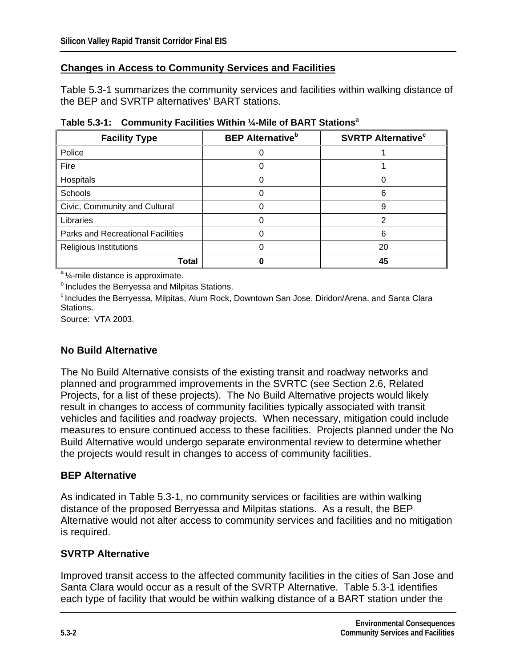#### **Changes in Access to Community Services and Facilities**

Table 5.3-1 summarizes the community services and facilities within walking distance of the BEP and SVRTP alternatives' BART stations.

| <b>Facility Type</b>                     | <b>BEP Alternative</b> <sup>b</sup> | <b>SVRTP Alternative<sup>c</sup></b> |
|------------------------------------------|-------------------------------------|--------------------------------------|
| Police                                   |                                     |                                      |
| Fire                                     |                                     |                                      |
| Hospitals                                |                                     |                                      |
| Schools                                  |                                     | 6                                    |
| Civic, Community and Cultural            |                                     | 9                                    |
| Libraries                                |                                     | っ                                    |
| <b>Parks and Recreational Facilities</b> |                                     | 6                                    |
| <b>Religious Institutions</b>            |                                     | 20                                   |
| Total                                    |                                     | 45                                   |

**Table 5.3-1: Community Facilities Within ¼-Mile of BART Stationsa**

<sup>a</sup> ¼-mile distance is approximate.

**b** Includes the Berryessa and Milpitas Stations.

c Includes the Berryessa, Milpitas, Alum Rock, Downtown San Jose, Diridon/Arena, and Santa Clara Stations.

Source: VTA 2003.

### **No Build Alternative**

The No Build Alternative consists of the existing transit and roadway networks and planned and programmed improvements in the SVRTC (see Section 2.6, Related Projects, for a list of these projects). The No Build Alternative projects would likely result in changes to access of community facilities typically associated with transit vehicles and facilities and roadway projects. When necessary, mitigation could include measures to ensure continued access to these facilities. Projects planned under the No Build Alternative would undergo separate environmental review to determine whether the projects would result in changes to access of community facilities.

#### **BEP Alternative**

As indicated in Table 5.3-1, no community services or facilities are within walking distance of the proposed Berryessa and Milpitas stations. As a result, the BEP Alternative would not alter access to community services and facilities and no mitigation is required.

#### **SVRTP Alternative**

Improved transit access to the affected community facilities in the cities of San Jose and Santa Clara would occur as a result of the SVRTP Alternative. Table 5.3-1 identifies each type of facility that would be within walking distance of a BART station under the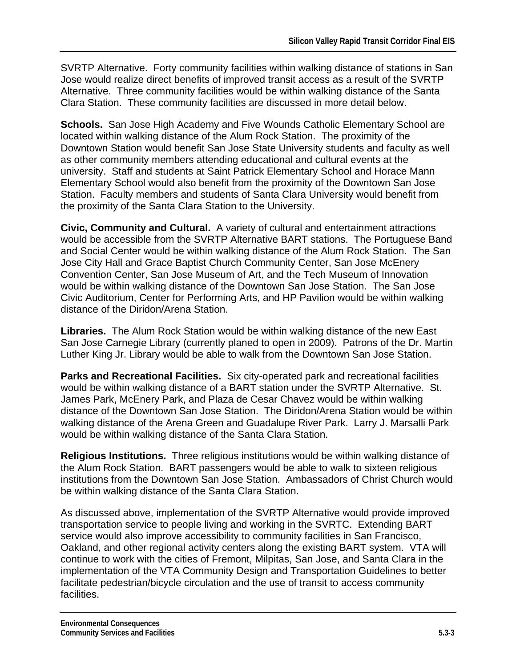SVRTP Alternative. Forty community facilities within walking distance of stations in San Jose would realize direct benefits of improved transit access as a result of the SVRTP Alternative. Three community facilities would be within walking distance of the Santa Clara Station. These community facilities are discussed in more detail below.

**Schools.** San Jose High Academy and Five Wounds Catholic Elementary School are located within walking distance of the Alum Rock Station. The proximity of the Downtown Station would benefit San Jose State University students and faculty as well as other community members attending educational and cultural events at the university. Staff and students at Saint Patrick Elementary School and Horace Mann Elementary School would also benefit from the proximity of the Downtown San Jose Station. Faculty members and students of Santa Clara University would benefit from the proximity of the Santa Clara Station to the University.

**Civic, Community and Cultural.** A variety of cultural and entertainment attractions would be accessible from the SVRTP Alternative BART stations. The Portuguese Band and Social Center would be within walking distance of the Alum Rock Station. The San Jose City Hall and Grace Baptist Church Community Center, San Jose McEnery Convention Center, San Jose Museum of Art, and the Tech Museum of Innovation would be within walking distance of the Downtown San Jose Station. The San Jose Civic Auditorium, Center for Performing Arts, and HP Pavilion would be within walking distance of the Diridon/Arena Station.

**Libraries.** The Alum Rock Station would be within walking distance of the new East San Jose Carnegie Library (currently planed to open in 2009). Patrons of the Dr. Martin Luther King Jr. Library would be able to walk from the Downtown San Jose Station.

**Parks and Recreational Facilities.** Six city-operated park and recreational facilities would be within walking distance of a BART station under the SVRTP Alternative. St. James Park, McEnery Park, and Plaza de Cesar Chavez would be within walking distance of the Downtown San Jose Station. The Diridon/Arena Station would be within walking distance of the Arena Green and Guadalupe River Park. Larry J. Marsalli Park would be within walking distance of the Santa Clara Station.

**Religious Institutions.** Three religious institutions would be within walking distance of the Alum Rock Station. BART passengers would be able to walk to sixteen religious institutions from the Downtown San Jose Station. Ambassadors of Christ Church would be within walking distance of the Santa Clara Station.

As discussed above, implementation of the SVRTP Alternative would provide improved transportation service to people living and working in the SVRTC. Extending BART service would also improve accessibility to community facilities in San Francisco, Oakland, and other regional activity centers along the existing BART system. VTA will continue to work with the cities of Fremont, Milpitas, San Jose, and Santa Clara in the implementation of the VTA Community Design and Transportation Guidelines to better facilitate pedestrian/bicycle circulation and the use of transit to access community facilities.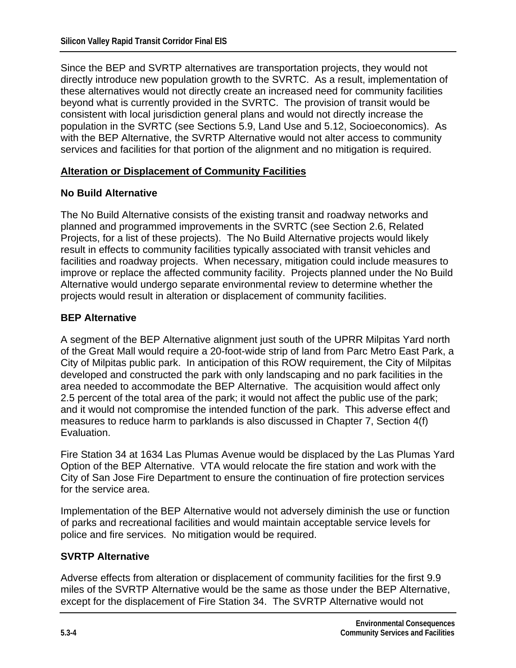Since the BEP and SVRTP alternatives are transportation projects, they would not directly introduce new population growth to the SVRTC. As a result, implementation of these alternatives would not directly create an increased need for community facilities beyond what is currently provided in the SVRTC. The provision of transit would be consistent with local jurisdiction general plans and would not directly increase the population in the SVRTC (see Sections 5.9, Land Use and 5.12, Socioeconomics). As with the BEP Alternative, the SVRTP Alternative would not alter access to community services and facilities for that portion of the alignment and no mitigation is required.

#### **Alteration or Displacement of Community Facilities**

#### **No Build Alternative**

The No Build Alternative consists of the existing transit and roadway networks and planned and programmed improvements in the SVRTC (see Section 2.6, Related Projects, for a list of these projects). The No Build Alternative projects would likely result in effects to community facilities typically associated with transit vehicles and facilities and roadway projects. When necessary, mitigation could include measures to improve or replace the affected community facility. Projects planned under the No Build Alternative would undergo separate environmental review to determine whether the projects would result in alteration or displacement of community facilities.

#### **BEP Alternative**

A segment of the BEP Alternative alignment just south of the UPRR Milpitas Yard north of the Great Mall would require a 20-foot-wide strip of land from Parc Metro East Park, a City of Milpitas public park. In anticipation of this ROW requirement, the City of Milpitas developed and constructed the park with only landscaping and no park facilities in the area needed to accommodate the BEP Alternative. The acquisition would affect only 2.5 percent of the total area of the park; it would not affect the public use of the park; and it would not compromise the intended function of the park. This adverse effect and measures to reduce harm to parklands is also discussed in Chapter 7, Section 4(f) Evaluation.

Fire Station 34 at 1634 Las Plumas Avenue would be displaced by the Las Plumas Yard Option of the BEP Alternative. VTA would relocate the fire station and work with the City of San Jose Fire Department to ensure the continuation of fire protection services for the service area.

Implementation of the BEP Alternative would not adversely diminish the use or function of parks and recreational facilities and would maintain acceptable service levels for police and fire services. No mitigation would be required.

#### **SVRTP Alternative**

Adverse effects from alteration or displacement of community facilities for the first 9.9 miles of the SVRTP Alternative would be the same as those under the BEP Alternative, except for the displacement of Fire Station 34. The SVRTP Alternative would not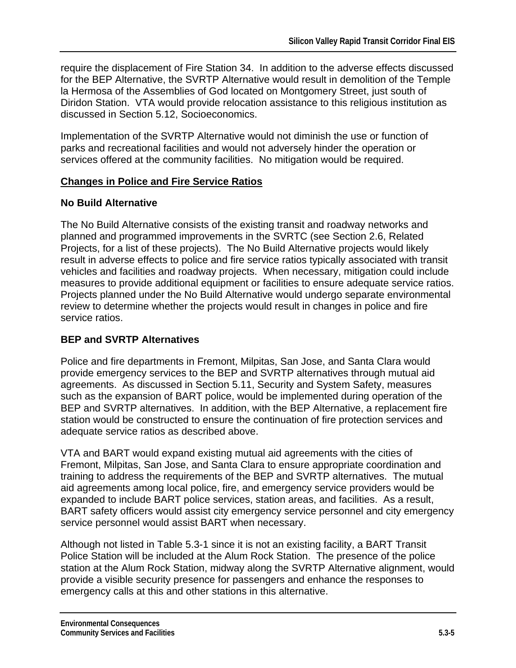require the displacement of Fire Station 34. In addition to the adverse effects discussed for the BEP Alternative, the SVRTP Alternative would result in demolition of the Temple la Hermosa of the Assemblies of God located on Montgomery Street, just south of Diridon Station. VTA would provide relocation assistance to this religious institution as discussed in Section 5.12, Socioeconomics.

Implementation of the SVRTP Alternative would not diminish the use or function of parks and recreational facilities and would not adversely hinder the operation or services offered at the community facilities. No mitigation would be required.

### **Changes in Police and Fire Service Ratios**

### **No Build Alternative**

The No Build Alternative consists of the existing transit and roadway networks and planned and programmed improvements in the SVRTC (see Section 2.6, Related Projects, for a list of these projects). The No Build Alternative projects would likely result in adverse effects to police and fire service ratios typically associated with transit vehicles and facilities and roadway projects. When necessary, mitigation could include measures to provide additional equipment or facilities to ensure adequate service ratios. Projects planned under the No Build Alternative would undergo separate environmental review to determine whether the projects would result in changes in police and fire service ratios.

### **BEP and SVRTP Alternatives**

Police and fire departments in Fremont, Milpitas, San Jose, and Santa Clara would provide emergency services to the BEP and SVRTP alternatives through mutual aid agreements. As discussed in Section 5.11, Security and System Safety, measures such as the expansion of BART police, would be implemented during operation of the BEP and SVRTP alternatives. In addition, with the BEP Alternative, a replacement fire station would be constructed to ensure the continuation of fire protection services and adequate service ratios as described above.

VTA and BART would expand existing mutual aid agreements with the cities of Fremont, Milpitas, San Jose, and Santa Clara to ensure appropriate coordination and training to address the requirements of the BEP and SVRTP alternatives. The mutual aid agreements among local police, fire, and emergency service providers would be expanded to include BART police services, station areas, and facilities. As a result, BART safety officers would assist city emergency service personnel and city emergency service personnel would assist BART when necessary.

Although not listed in Table 5.3-1 since it is not an existing facility, a BART Transit Police Station will be included at the Alum Rock Station. The presence of the police station at the Alum Rock Station, midway along the SVRTP Alternative alignment, would provide a visible security presence for passengers and enhance the responses to emergency calls at this and other stations in this alternative.